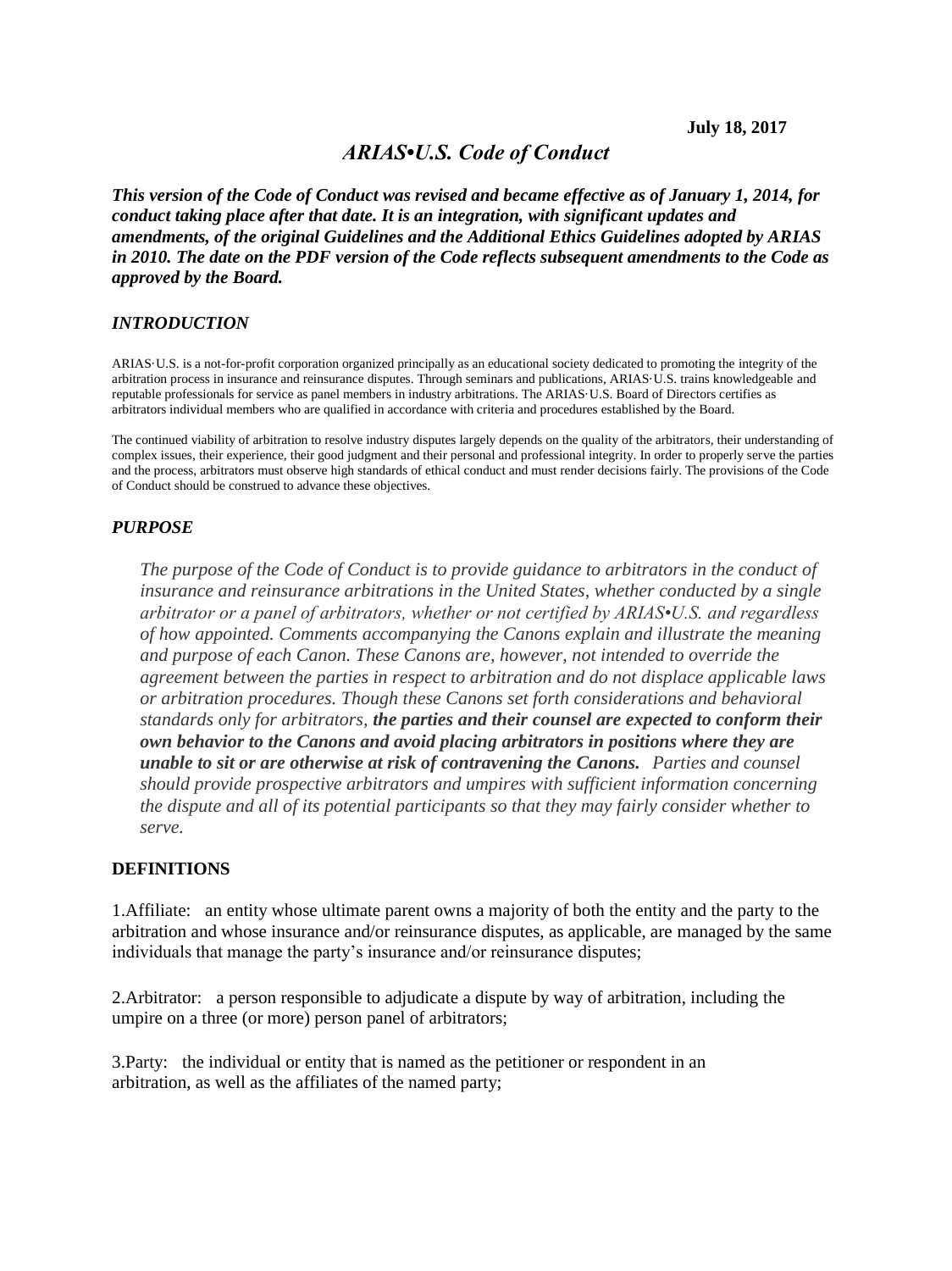# *ARIAS•U.S. Code of Conduct*

*This version of the Code of Conduct was revised and became effective as of January 1, 2014, for conduct taking place after that date. It is an integration, with significant updates and amendments, of the original Guidelines and the Additional Ethics Guidelines adopted by ARIAS in 2010. The date on the PDF version of the Code reflects subsequent amendments to the Code as approved by the Board.* 

#### *INTRODUCTION*

ARIAS·U.S. is a not-for-profit corporation organized principally as an educational society dedicated to promoting the integrity of the arbitration process in insurance and reinsurance disputes. Through seminars and publications, ARIAS·U.S. trains knowledgeable and reputable professionals for service as panel members in industry arbitrations. The ARIAS·U.S. Board of Directors certifies as arbitrators individual members who are qualified in accordance with criteria and procedures established by the Board.

The continued viability of arbitration to resolve industry disputes largely depends on the quality of the arbitrators, their understanding of complex issues, their experience, their good judgment and their personal and professional integrity. In order to properly serve the parties and the process, arbitrators must observe high standards of ethical conduct and must render decisions fairly. The provisions of the Code of Conduct should be construed to advance these objectives.

#### *PURPOSE*

*The purpose of the Code of Conduct is to provide guidance to arbitrators in the conduct of insurance and reinsurance arbitrations in the United States, whether conducted by a single arbitrator or a panel of arbitrators, whether or not certified by ARIAS•U.S. and regardless of how appointed. Comments accompanying the Canons explain and illustrate the meaning and purpose of each Canon. These Canons are, however, not intended to override the agreement between the parties in respect to arbitration and do not displace applicable laws or arbitration procedures. Though these Canons set forth considerations and behavioral standards only for arbitrators, the parties and their counsel are expected to conform their own behavior to the Canons and avoid placing arbitrators in positions where they are unable to sit or are otherwise at risk of contravening the Canons. Parties and counsel should provide prospective arbitrators and umpires with sufficient information concerning the dispute and all of its potential participants so that they may fairly consider whether to serve.*

#### **DEFINITIONS**

1.Affiliate: an entity whose ultimate parent owns a majority of both the entity and the party to the arbitration and whose insurance and/or reinsurance disputes, as applicable, are managed by the same individuals that manage the party's insurance and/or reinsurance disputes;

2.Arbitrator: a person responsible to adjudicate a dispute by way of arbitration, including the umpire on a three (or more) person panel of arbitrators;

3.Party: the individual or entity that is named as the petitioner or respondent in an arbitration, as well as the affiliates of the named party;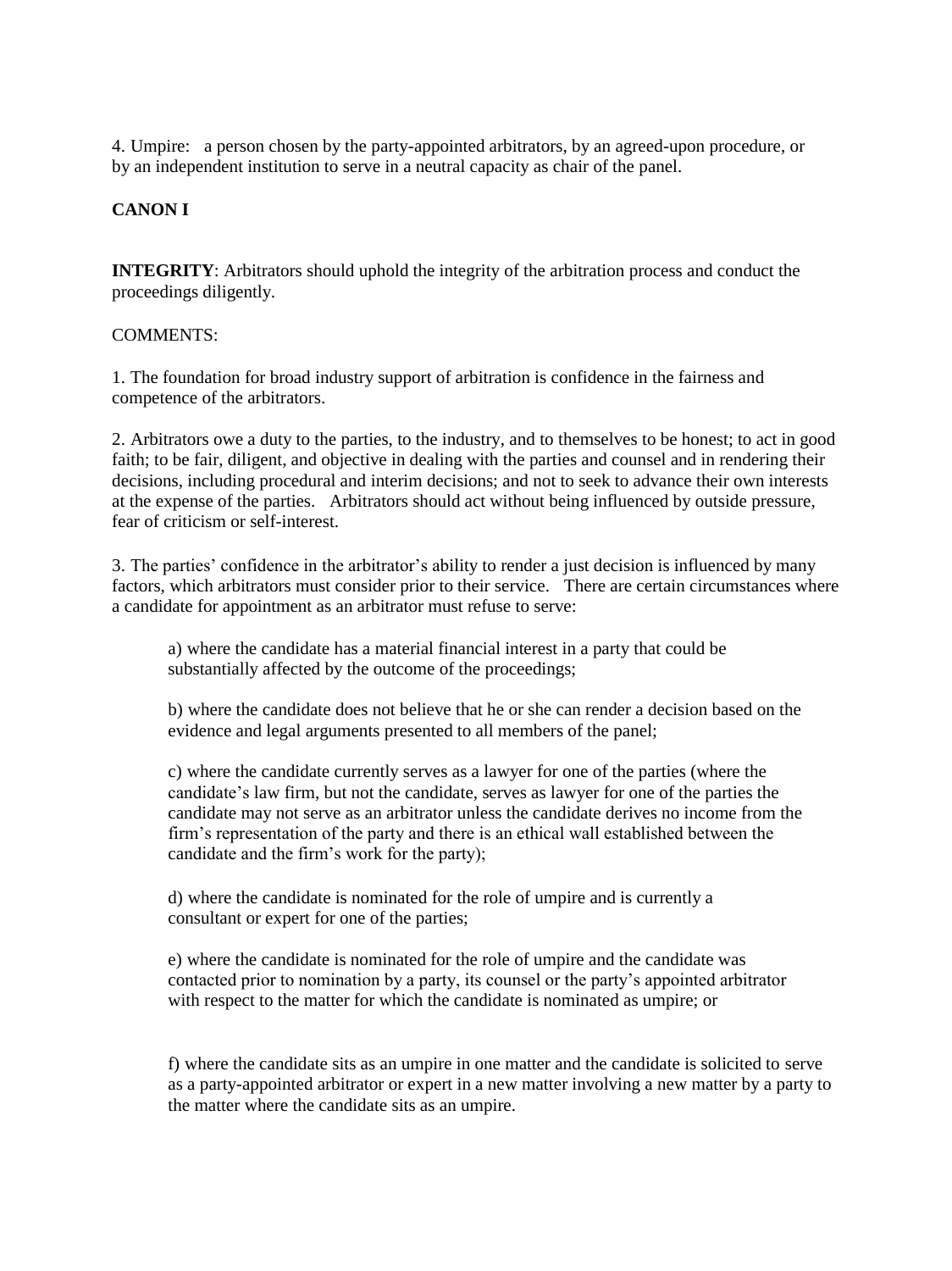4. Umpire: a person chosen by the party-appointed arbitrators, by an agreed-upon procedure, or by an independent institution to serve in a neutral capacity as chair of the panel.

## **CANON I**

**INTEGRITY**: Arbitrators should uphold the integrity of the arbitration process and conduct the proceedings diligently.

#### COMMENTS:

1. The foundation for broad industry support of arbitration is confidence in the fairness and competence of the arbitrators.

2. Arbitrators owe a duty to the parties, to the industry, and to themselves to be honest; to act in good faith; to be fair, diligent, and objective in dealing with the parties and counsel and in rendering their decisions, including procedural and interim decisions; and not to seek to advance their own interests at the expense of the parties. Arbitrators should act without being influenced by outside pressure, fear of criticism or self-interest.

3. The parties' confidence in the arbitrator's ability to render a just decision is influenced by many factors, which arbitrators must consider prior to their service. There are certain circumstances where a candidate for appointment as an arbitrator must refuse to serve:

a) where the candidate has a material financial interest in a party that could be substantially affected by the outcome of the proceedings;

b) where the candidate does not believe that he or she can render a decision based on the evidence and legal arguments presented to all members of the panel;

c) where the candidate currently serves as a lawyer for one of the parties (where the candidate's law firm, but not the candidate, serves as lawyer for one of the parties the candidate may not serve as an arbitrator unless the candidate derives no income from the firm's representation of the party and there is an ethical wall established between the candidate and the firm's work for the party);

d) where the candidate is nominated for the role of umpire and is currently a consultant or expert for one of the parties;

e) where the candidate is nominated for the role of umpire and the candidate was contacted prior to nomination by a party, its counsel or the party's appointed arbitrator with respect to the matter for which the candidate is nominated as umpire; or

f) where the candidate sits as an umpire in one matter and the candidate is solicited to serve as a party-appointed arbitrator or expert in a new matter involving a new matter by a party to the matter where the candidate sits as an umpire.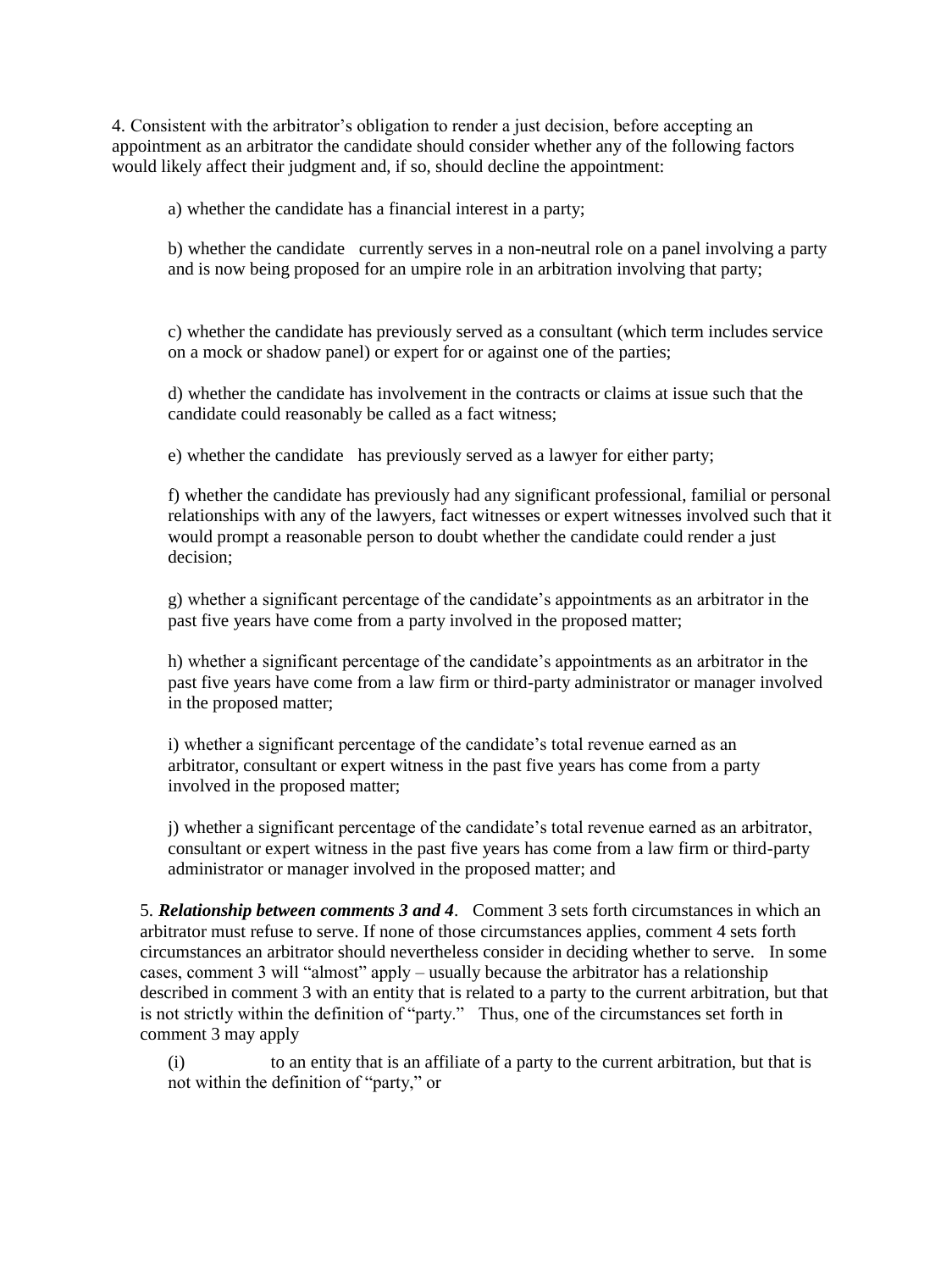4. Consistent with the arbitrator's obligation to render a just decision, before accepting an appointment as an arbitrator the candidate should consider whether any of the following factors would likely affect their judgment and, if so, should decline the appointment:

a) whether the candidate has a financial interest in a party;

b) whether the candidate currently serves in a non-neutral role on a panel involving a party and is now being proposed for an umpire role in an arbitration involving that party;

c) whether the candidate has previously served as a consultant (which term includes service on a mock or shadow panel) or expert for or against one of the parties;

d) whether the candidate has involvement in the contracts or claims at issue such that the candidate could reasonably be called as a fact witness;

e) whether the candidate has previously served as a lawyer for either party;

f) whether the candidate has previously had any significant professional, familial or personal relationships with any of the lawyers, fact witnesses or expert witnesses involved such that it would prompt a reasonable person to doubt whether the candidate could render a just decision;

g) whether a significant percentage of the candidate's appointments as an arbitrator in the past five years have come from a party involved in the proposed matter;

h) whether a significant percentage of the candidate's appointments as an arbitrator in the past five years have come from a law firm or third-party administrator or manager involved in the proposed matter;

i) whether a significant percentage of the candidate's total revenue earned as an arbitrator, consultant or expert witness in the past five years has come from a party involved in the proposed matter;

j) whether a significant percentage of the candidate's total revenue earned as an arbitrator, consultant or expert witness in the past five years has come from a law firm or third-party administrator or manager involved in the proposed matter; and

5. *Relationship between comments 3 and 4*. Comment 3 sets forth circumstances in which an arbitrator must refuse to serve. If none of those circumstances applies, comment 4 sets forth circumstances an arbitrator should nevertheless consider in deciding whether to serve. In some cases, comment 3 will "almost" apply – usually because the arbitrator has a relationship described in comment 3 with an entity that is related to a party to the current arbitration, but that is not strictly within the definition of "party." Thus, one of the circumstances set forth in comment 3 may apply

(i) to an entity that is an affiliate of a party to the current arbitration, but that is not within the definition of "party," or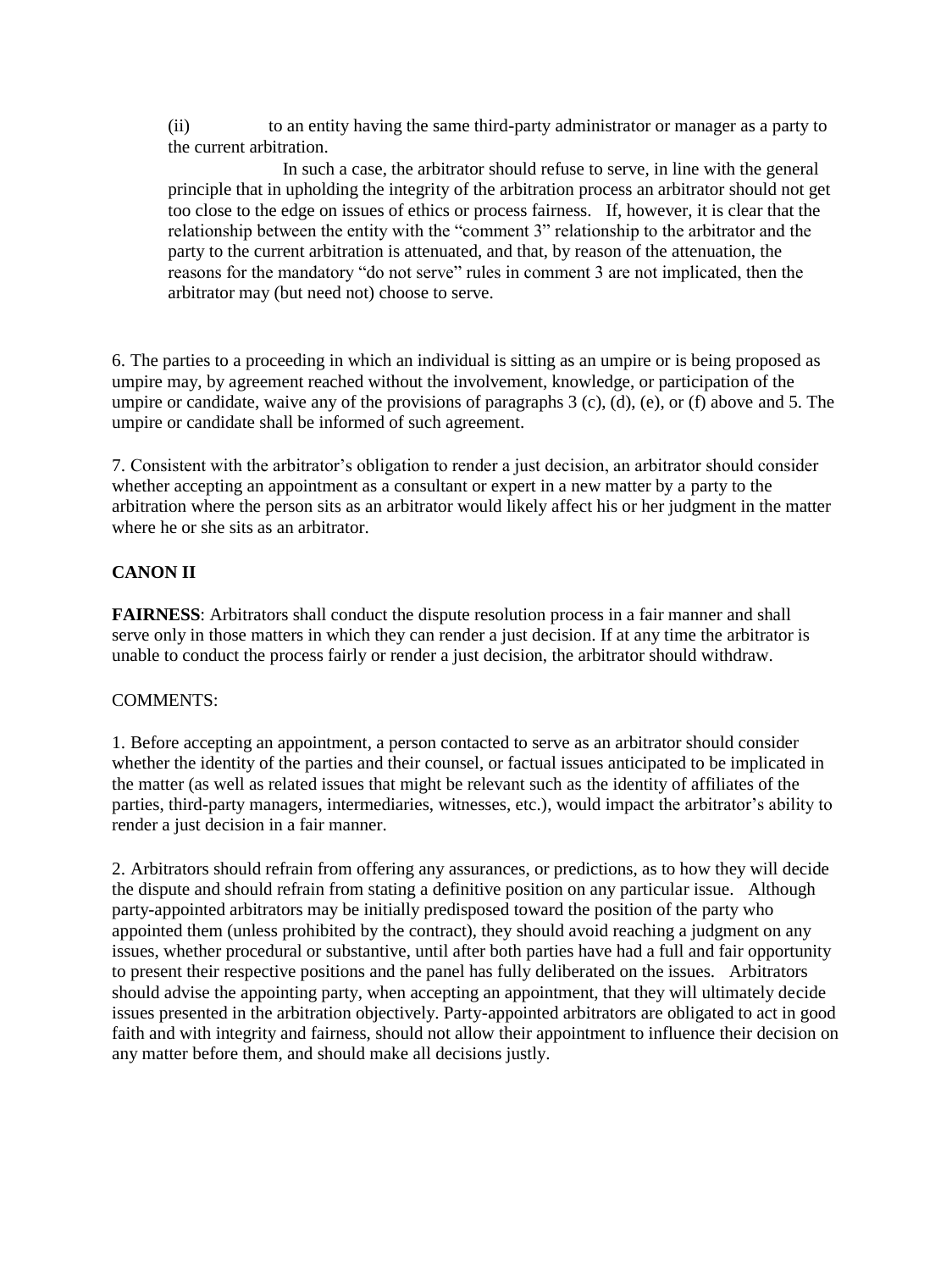(ii) to an entity having the same third-party administrator or manager as a party to the current arbitration.

 In such a case, the arbitrator should refuse to serve, in line with the general principle that in upholding the integrity of the arbitration process an arbitrator should not get too close to the edge on issues of ethics or process fairness. If, however, it is clear that the relationship between the entity with the "comment 3" relationship to the arbitrator and the party to the current arbitration is attenuated, and that, by reason of the attenuation, the reasons for the mandatory "do not serve" rules in comment 3 are not implicated, then the arbitrator may (but need not) choose to serve.

6. The parties to a proceeding in which an individual is sitting as an umpire or is being proposed as umpire may, by agreement reached without the involvement, knowledge, or participation of the umpire or candidate, waive any of the provisions of paragraphs  $3$  (c), (d), (e), or (f) above and 5. The umpire or candidate shall be informed of such agreement.

7. Consistent with the arbitrator's obligation to render a just decision, an arbitrator should consider whether accepting an appointment as a consultant or expert in a new matter by a party to the arbitration where the person sits as an arbitrator would likely affect his or her judgment in the matter where he or she sits as an arbitrator.

# **CANON II**

**FAIRNESS**: Arbitrators shall conduct the dispute resolution process in a fair manner and shall serve only in those matters in which they can render a just decision. If at any time the arbitrator is unable to conduct the process fairly or render a just decision, the arbitrator should withdraw.

### COMMENTS:

1. Before accepting an appointment, a person contacted to serve as an arbitrator should consider whether the identity of the parties and their counsel, or factual issues anticipated to be implicated in the matter (as well as related issues that might be relevant such as the identity of affiliates of the parties, third-party managers, intermediaries, witnesses, etc.), would impact the arbitrator's ability to render a just decision in a fair manner.

2. Arbitrators should refrain from offering any assurances, or predictions, as to how they will decide the dispute and should refrain from stating a definitive position on any particular issue. Although party-appointed arbitrators may be initially predisposed toward the position of the party who appointed them (unless prohibited by the contract), they should avoid reaching a judgment on any issues, whether procedural or substantive, until after both parties have had a full and fair opportunity to present their respective positions and the panel has fully deliberated on the issues. Arbitrators should advise the appointing party, when accepting an appointment, that they will ultimately decide issues presented in the arbitration objectively. Party-appointed arbitrators are obligated to act in good faith and with integrity and fairness, should not allow their appointment to influence their decision on any matter before them, and should make all decisions justly.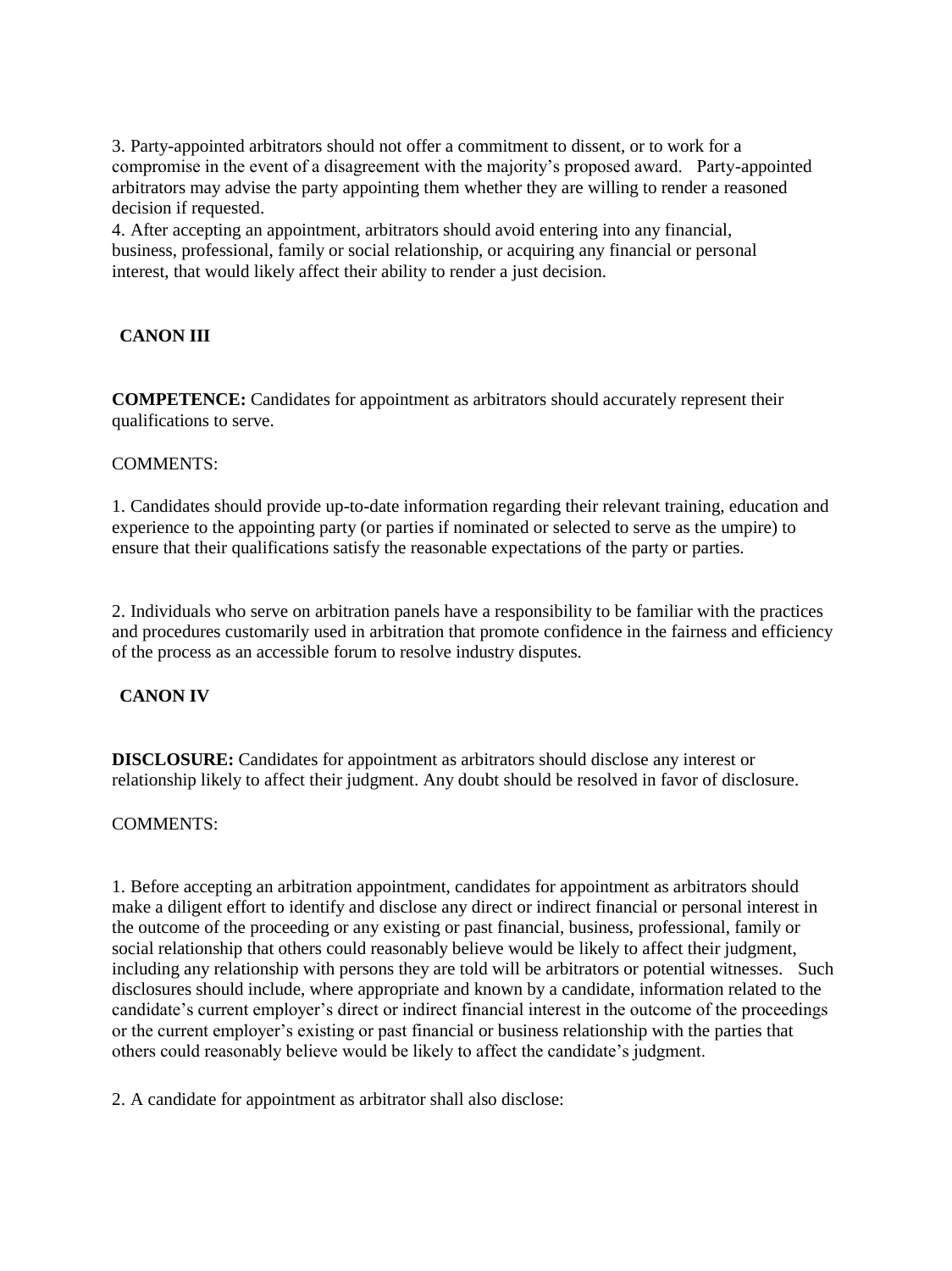3. Party-appointed arbitrators should not offer a commitment to dissent, or to work for a compromise in the event of a disagreement with the majority's proposed award. Party-appointed arbitrators may advise the party appointing them whether they are willing to render a reasoned decision if requested.

4. After accepting an appointment, arbitrators should avoid entering into any financial, business, professional, family or social relationship, or acquiring any financial or personal interest, that would likely affect their ability to render a just decision.

# **CANON III**

**COMPETENCE:** Candidates for appointment as arbitrators should accurately represent their qualifications to serve.

### COMMENTS:

1. Candidates should provide up-to-date information regarding their relevant training, education and experience to the appointing party (or parties if nominated or selected to serve as the umpire) to ensure that their qualifications satisfy the reasonable expectations of the party or parties.

2. Individuals who serve on arbitration panels have a responsibility to be familiar with the practices and procedures customarily used in arbitration that promote confidence in the fairness and efficiency of the process as an accessible forum to resolve industry disputes.

### **CANON IV**

**DISCLOSURE:** Candidates for appointment as arbitrators should disclose any interest or relationship likely to affect their judgment. Any doubt should be resolved in favor of disclosure.

### COMMENTS:

1. Before accepting an arbitration appointment, candidates for appointment as arbitrators should make a diligent effort to identify and disclose any direct or indirect financial or personal interest in the outcome of the proceeding or any existing or past financial, business, professional, family or social relationship that others could reasonably believe would be likely to affect their judgment, including any relationship with persons they are told will be arbitrators or potential witnesses. Such disclosures should include, where appropriate and known by a candidate, information related to the candidate's current employer's direct or indirect financial interest in the outcome of the proceedings or the current employer's existing or past financial or business relationship with the parties that others could reasonably believe would be likely to affect the candidate's judgment.

2. A candidate for appointment as arbitrator shall also disclose: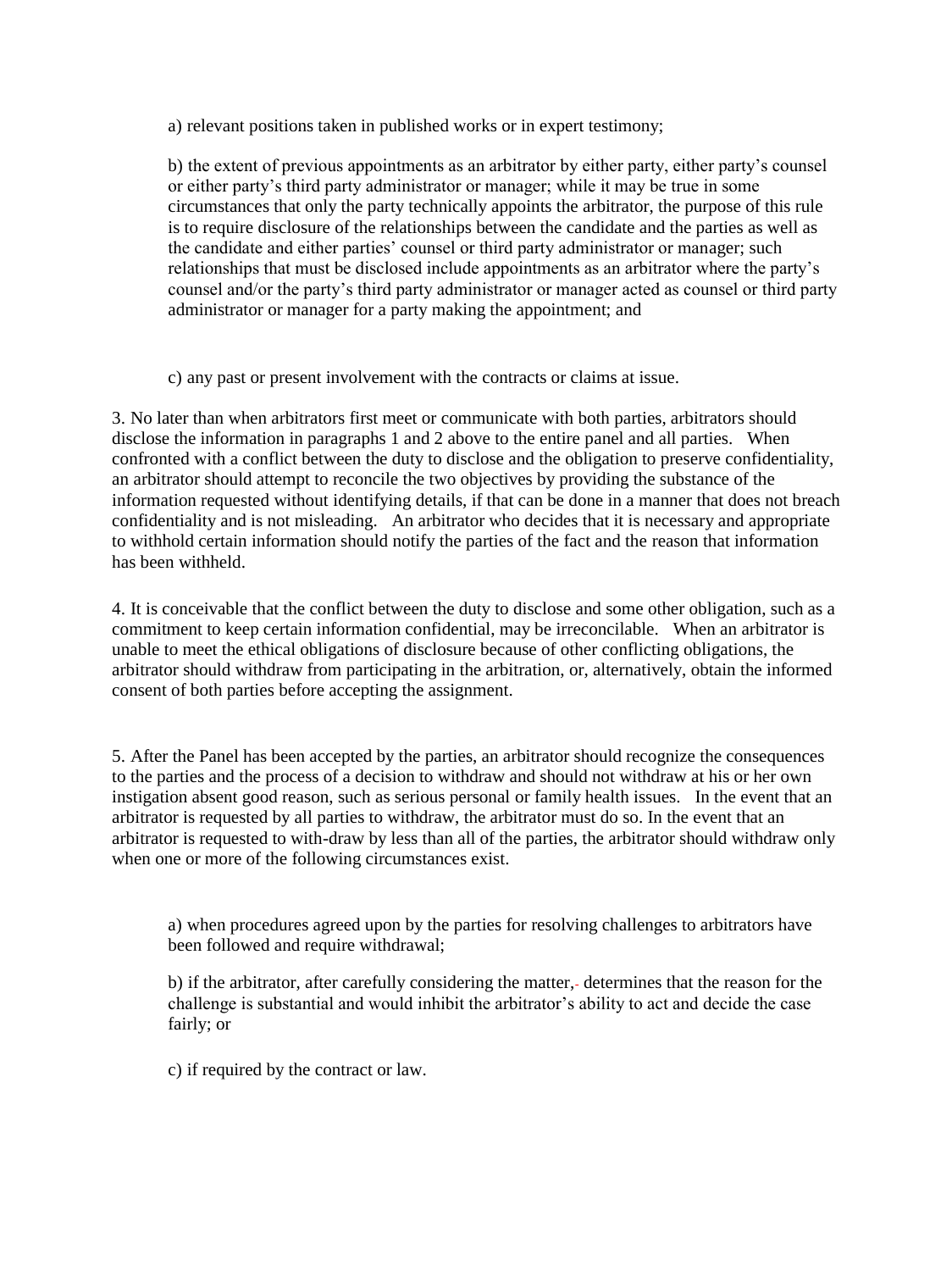a) relevant positions taken in published works or in expert testimony;

b) the extent of previous appointments as an arbitrator by either party, either party's counsel or either party's third party administrator or manager; while it may be true in some circumstances that only the party technically appoints the arbitrator, the purpose of this rule is to require disclosure of the relationships between the candidate and the parties as well as the candidate and either parties' counsel or third party administrator or manager; such relationships that must be disclosed include appointments as an arbitrator where the party's counsel and/or the party's third party administrator or manager acted as counsel or third party administrator or manager for a party making the appointment; and

c) any past or present involvement with the contracts or claims at issue.

3. No later than when arbitrators first meet or communicate with both parties, arbitrators should disclose the information in paragraphs 1 and 2 above to the entire panel and all parties. When confronted with a conflict between the duty to disclose and the obligation to preserve confidentiality, an arbitrator should attempt to reconcile the two objectives by providing the substance of the information requested without identifying details, if that can be done in a manner that does not breach confidentiality and is not misleading. An arbitrator who decides that it is necessary and appropriate to withhold certain information should notify the parties of the fact and the reason that information has been withheld.

4. It is conceivable that the conflict between the duty to disclose and some other obligation, such as a commitment to keep certain information confidential, may be irreconcilable. When an arbitrator is unable to meet the ethical obligations of disclosure because of other conflicting obligations, the arbitrator should withdraw from participating in the arbitration, or, alternatively, obtain the informed consent of both parties before accepting the assignment.

5. After the Panel has been accepted by the parties, an arbitrator should recognize the consequences to the parties and the process of a decision to withdraw and should not withdraw at his or her own instigation absent good reason, such as serious personal or family health issues. In the event that an arbitrator is requested by all parties to withdraw, the arbitrator must do so. In the event that an arbitrator is requested to with-draw by less than all of the parties, the arbitrator should withdraw only when one or more of the following circumstances exist.

a) when procedures agreed upon by the parties for resolving challenges to arbitrators have been followed and require withdrawal;

b) if the arbitrator, after carefully considering the matter,- determines that the reason for the challenge is substantial and would inhibit the arbitrator's ability to act and decide the case fairly; or

c) if required by the contract or law.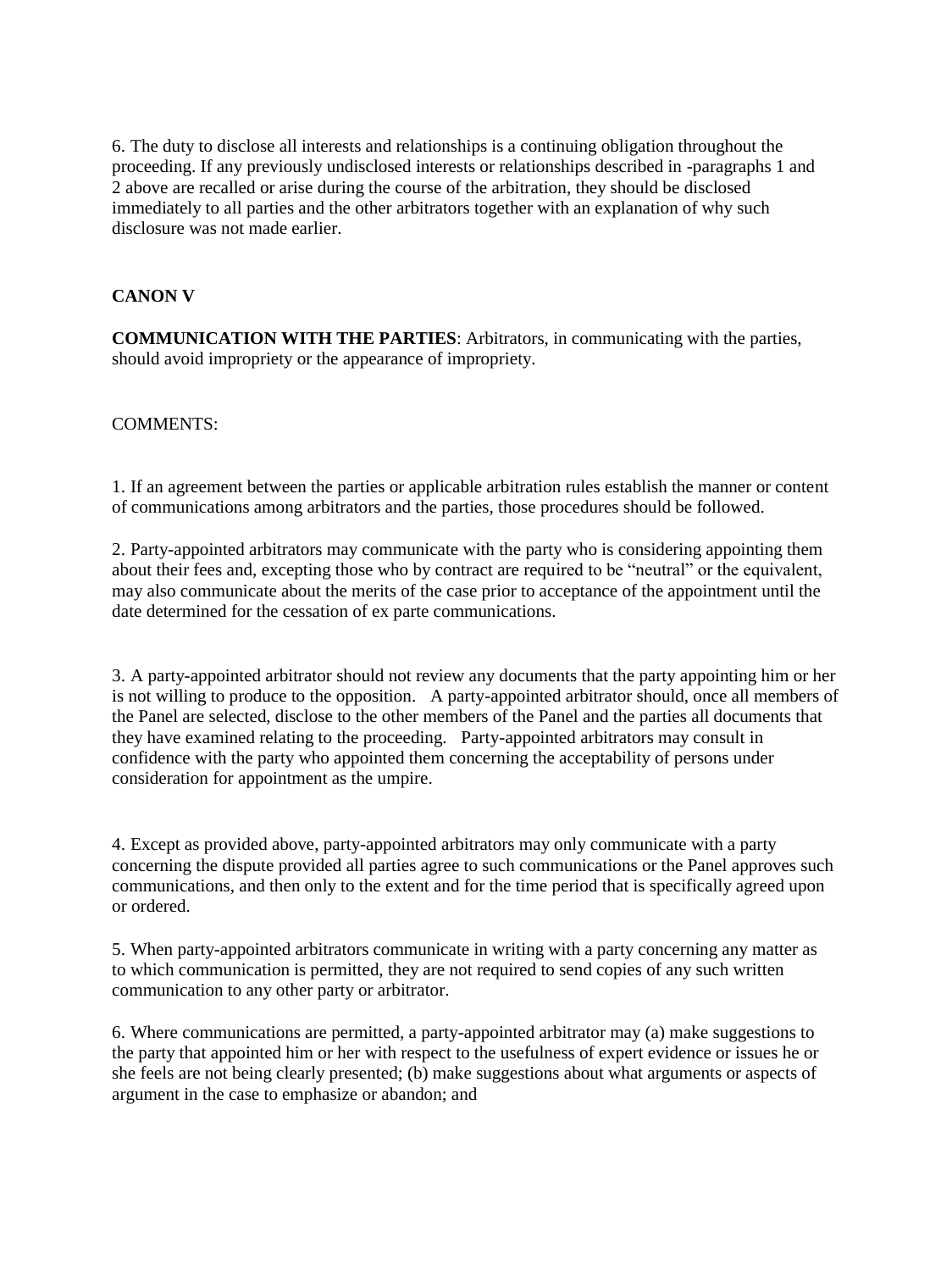6. The duty to disclose all interests and relationships is a continuing obligation throughout the proceeding. If any previously undisclosed interests or relationships described in -paragraphs 1 and 2 above are recalled or arise during the course of the arbitration, they should be disclosed immediately to all parties and the other arbitrators together with an explanation of why such disclosure was not made earlier.

## **CANON V**

**COMMUNICATION WITH THE PARTIES**: Arbitrators, in communicating with the parties, should avoid impropriety or the appearance of impropriety.

#### COMMENTS:

1. If an agreement between the parties or applicable arbitration rules establish the manner or content of communications among arbitrators and the parties, those procedures should be followed.

2. Party-appointed arbitrators may communicate with the party who is considering appointing them about their fees and, excepting those who by contract are required to be "neutral" or the equivalent, may also communicate about the merits of the case prior to acceptance of the appointment until the date determined for the cessation of ex parte communications.

3. A party-appointed arbitrator should not review any documents that the party appointing him or her is not willing to produce to the opposition. A party-appointed arbitrator should, once all members of the Panel are selected, disclose to the other members of the Panel and the parties all documents that they have examined relating to the proceeding. Party-appointed arbitrators may consult in confidence with the party who appointed them concerning the acceptability of persons under consideration for appointment as the umpire.

4. Except as provided above, party-appointed arbitrators may only communicate with a party concerning the dispute provided all parties agree to such communications or the Panel approves such communications, and then only to the extent and for the time period that is specifically agreed upon or ordered.

5. When party-appointed arbitrators communicate in writing with a party concerning any matter as to which communication is permitted, they are not required to send copies of any such written communication to any other party or arbitrator.

6. Where communications are permitted, a party-appointed arbitrator may (a) make suggestions to the party that appointed him or her with respect to the usefulness of expert evidence or issues he or she feels are not being clearly presented; (b) make suggestions about what arguments or aspects of argument in the case to emphasize or abandon; and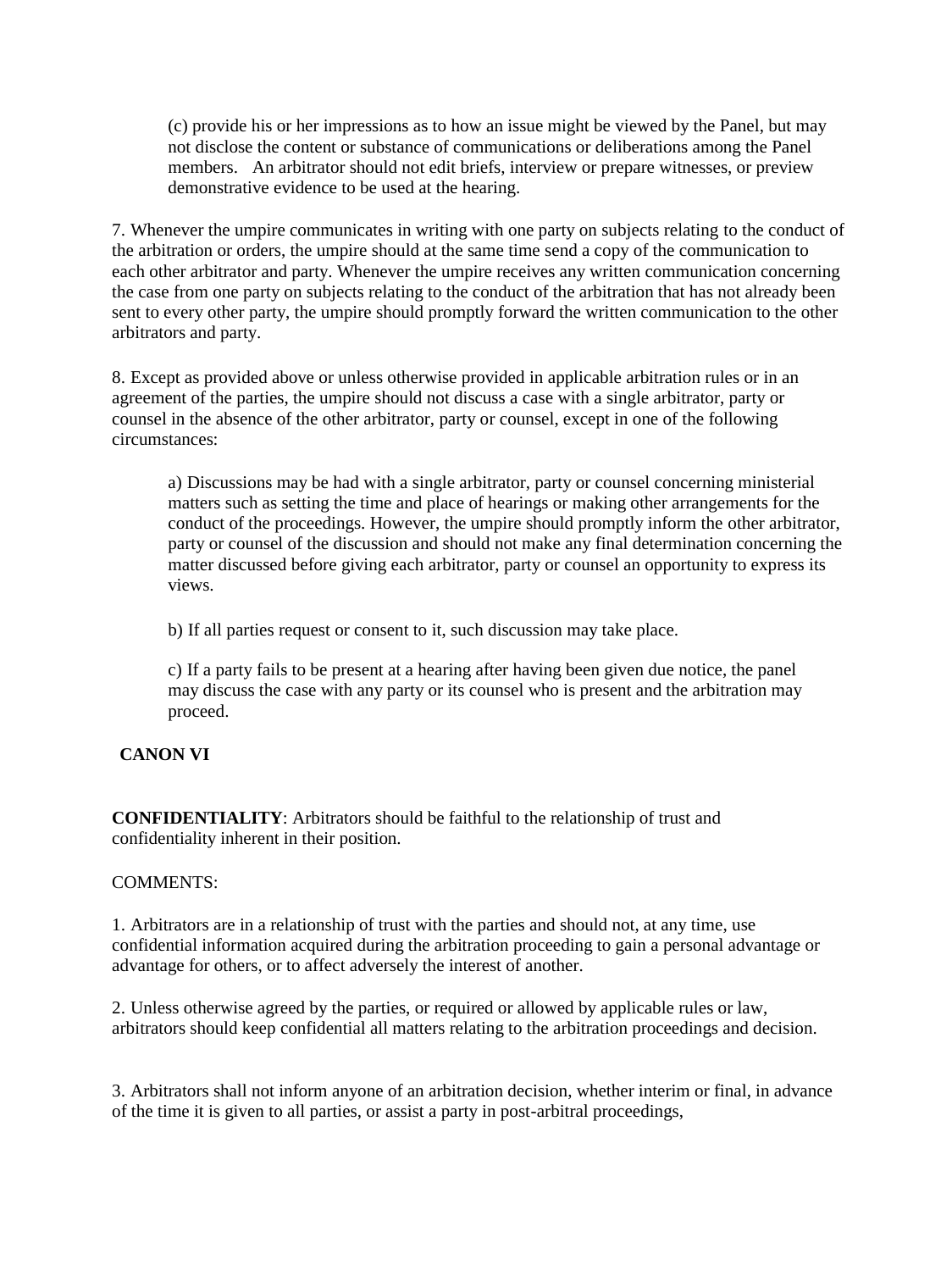(c) provide his or her impressions as to how an issue might be viewed by the Panel, but may not disclose the content or substance of communications or deliberations among the Panel members. An arbitrator should not edit briefs, interview or prepare witnesses, or preview demonstrative evidence to be used at the hearing.

7. Whenever the umpire communicates in writing with one party on subjects relating to the conduct of the arbitration or orders, the umpire should at the same time send a copy of the communication to each other arbitrator and party. Whenever the umpire receives any written communication concerning the case from one party on subjects relating to the conduct of the arbitration that has not already been sent to every other party, the umpire should promptly forward the written communication to the other arbitrators and party.

8. Except as provided above or unless otherwise provided in applicable arbitration rules or in an agreement of the parties, the umpire should not discuss a case with a single arbitrator, party or counsel in the absence of the other arbitrator, party or counsel, except in one of the following circumstances:

a) Discussions may be had with a single arbitrator, party or counsel concerning ministerial matters such as setting the time and place of hearings or making other arrangements for the conduct of the proceedings. However, the umpire should promptly inform the other arbitrator, party or counsel of the discussion and should not make any final determination concerning the matter discussed before giving each arbitrator, party or counsel an opportunity to express its views.

b) If all parties request or consent to it, such discussion may take place.

c) If a party fails to be present at a hearing after having been given due notice, the panel may discuss the case with any party or its counsel who is present and the arbitration may proceed.

# **CANON VI**

**CONFIDENTIALITY**: Arbitrators should be faithful to the relationship of trust and confidentiality inherent in their position.

# COMMENTS:

1. Arbitrators are in a relationship of trust with the parties and should not, at any time, use confidential information acquired during the arbitration proceeding to gain a personal advantage or advantage for others, or to affect adversely the interest of another.

2. Unless otherwise agreed by the parties, or required or allowed by applicable rules or law, arbitrators should keep confidential all matters relating to the arbitration proceedings and decision.

3. Arbitrators shall not inform anyone of an arbitration decision, whether interim or final, in advance of the time it is given to all parties, or assist a party in post-arbitral proceedings,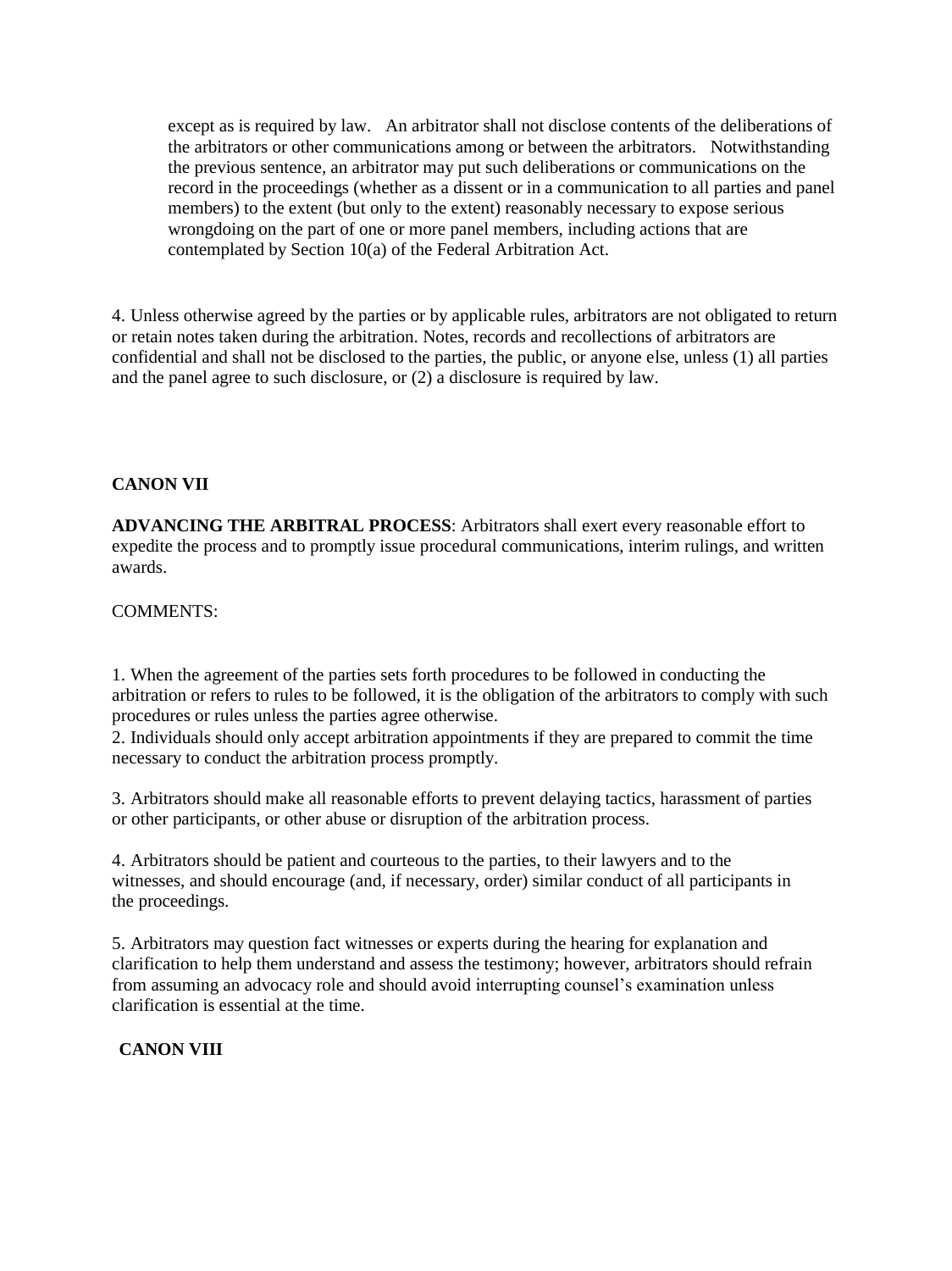except as is required by law. An arbitrator shall not disclose contents of the deliberations of the arbitrators or other communications among or between the arbitrators. Notwithstanding the previous sentence, an arbitrator may put such deliberations or communications on the record in the proceedings (whether as a dissent or in a communication to all parties and panel members) to the extent (but only to the extent) reasonably necessary to expose serious wrongdoing on the part of one or more panel members, including actions that are contemplated by Section 10(a) of the Federal Arbitration Act.

4. Unless otherwise agreed by the parties or by applicable rules, arbitrators are not obligated to return or retain notes taken during the arbitration. Notes, records and recollections of arbitrators are confidential and shall not be disclosed to the parties, the public, or anyone else, unless (1) all parties and the panel agree to such disclosure, or (2) a disclosure is required by law.

## **CANON VII**

**ADVANCING THE ARBITRAL PROCESS**: Arbitrators shall exert every reasonable effort to expedite the process and to promptly issue procedural communications, interim rulings, and written awards.

COMMENTS:

1. When the agreement of the parties sets forth procedures to be followed in conducting the arbitration or refers to rules to be followed, it is the obligation of the arbitrators to comply with such procedures or rules unless the parties agree otherwise.

2. Individuals should only accept arbitration appointments if they are prepared to commit the time necessary to conduct the arbitration process promptly.

3. Arbitrators should make all reasonable efforts to prevent delaying tactics, harassment of parties or other participants, or other abuse or disruption of the arbitration process.

4. Arbitrators should be patient and courteous to the parties, to their lawyers and to the witnesses, and should encourage (and, if necessary, order) similar conduct of all participants in the proceedings.

5. Arbitrators may question fact witnesses or experts during the hearing for explanation and clarification to help them understand and assess the testimony; however, arbitrators should refrain from assuming an advocacy role and should avoid interrupting counsel's examination unless clarification is essential at the time.

**CANON VIII**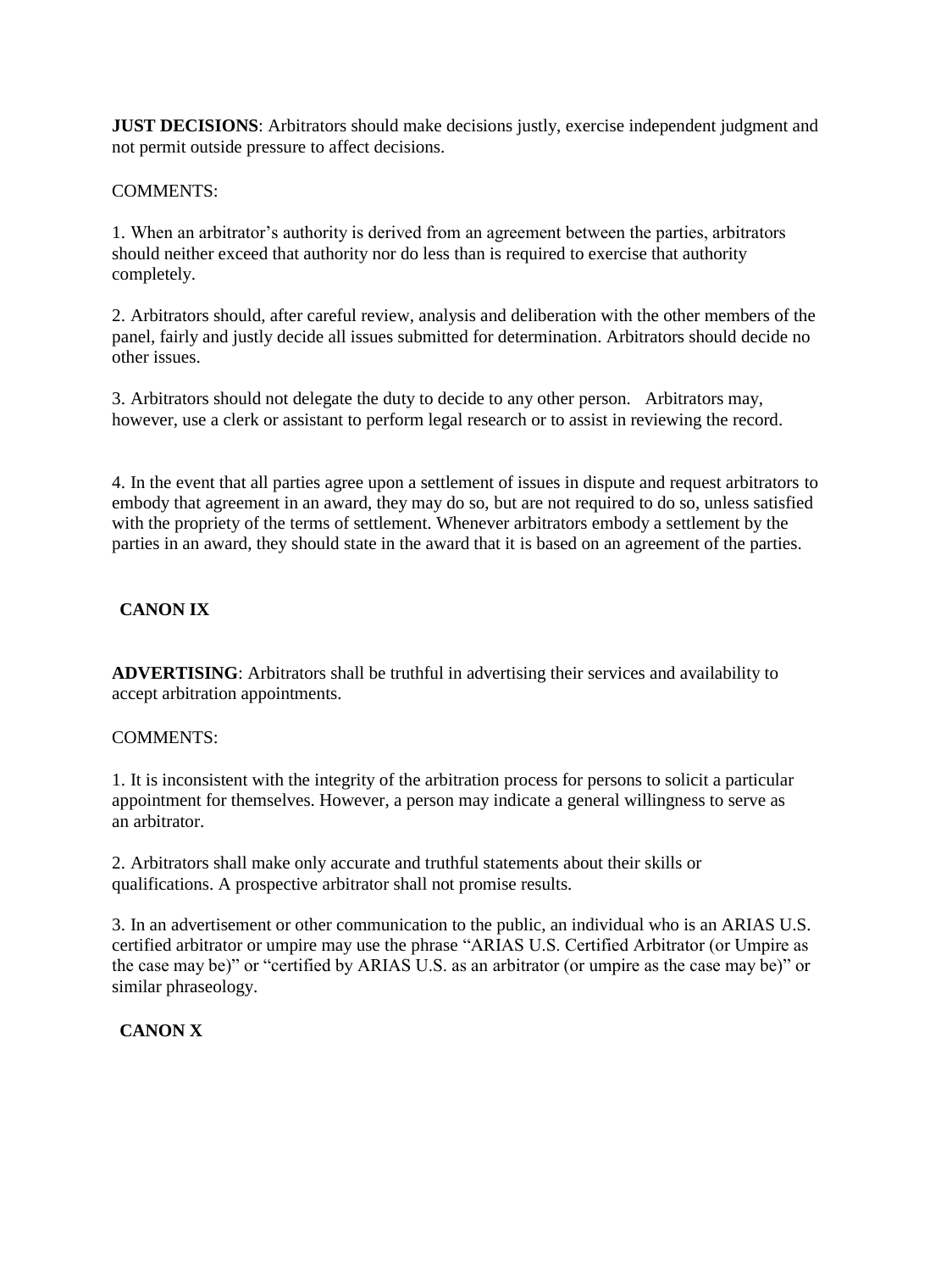**JUST DECISIONS:** Arbitrators should make decisions justly, exercise independent judgment and not permit outside pressure to affect decisions.

## COMMENTS:

1. When an arbitrator's authority is derived from an agreement between the parties, arbitrators should neither exceed that authority nor do less than is required to exercise that authority completely.

2. Arbitrators should, after careful review, analysis and deliberation with the other members of the panel, fairly and justly decide all issues submitted for determination. Arbitrators should decide no other issues.

3. Arbitrators should not delegate the duty to decide to any other person. Arbitrators may, however, use a clerk or assistant to perform legal research or to assist in reviewing the record.

4. In the event that all parties agree upon a settlement of issues in dispute and request arbitrators to embody that agreement in an award, they may do so, but are not required to do so, unless satisfied with the propriety of the terms of settlement. Whenever arbitrators embody a settlement by the parties in an award, they should state in the award that it is based on an agreement of the parties.

# **CANON IX**

**ADVERTISING**: Arbitrators shall be truthful in advertising their services and availability to accept arbitration appointments.

# COMMENTS:

1. It is inconsistent with the integrity of the arbitration process for persons to solicit a particular appointment for themselves. However, a person may indicate a general willingness to serve as an arbitrator.

2. Arbitrators shall make only accurate and truthful statements about their skills or qualifications. A prospective arbitrator shall not promise results.

3. In an advertisement or other communication to the public, an individual who is an ARIAS U.S. certified arbitrator or umpire may use the phrase "ARIAS U.S. Certified Arbitrator (or Umpire as the case may be)" or "certified by ARIAS U.S. as an arbitrator (or umpire as the case may be)" or similar phraseology.

# **CANON X**